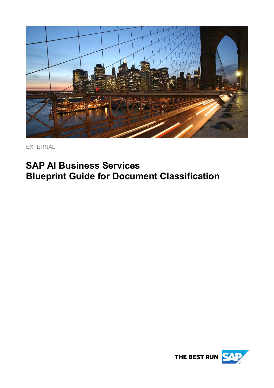

EXTERNAL

# **SAP AI Business Services Blueprint Guide for Document Classification**

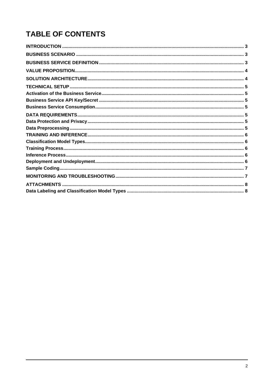# **TABLE OF CONTENTS**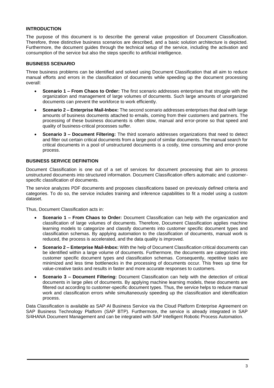#### <span id="page-2-0"></span>**INTRODUCTION**

The purpose of this document is to describe the general value proposition of Document Classification. Therefore, three distinctive business scenarios are described, and a basic solution architecture is depicted. Furthermore, the document guides through the technical setup of the service, including the activation and consumption of the service but also the steps specific to artificial intelligence.

# <span id="page-2-1"></span>**BUSINESS SCENARIO**

Three business problems can be identified and solved using Document Classification that all aim to reduce manual efforts and errors in the classification of documents while speeding up the document processing overall:

- **Scenario 1 – From Chaos to Order:** The first scenario addresses enterprises that struggle with the organization and management of large volumes of documents. Such large amounts of unorganized documents can prevent the workforce to work efficiently.
- **Scenario 2 – Enterprise Mail-Inbox:** The second scenario addresses enterprises that deal with large amounts of business documents attached to emails, coming from their customers and partners. The processing of these business documents is often slow, manual and error-prone so that speed and quality of business-critical processes suffer.
- **Scenario 3 – Document Filtering:** The third scenario addresses organizations that need to detect and filter out certain critical documents from a large pool of similar documents. The manual search for critical documents in a pool of unstructured documents is a costly, time consuming and error-prone process.

# <span id="page-2-2"></span>**BUSINESS SERVICE DEFINITION**

Document Classification is one out of a set of services for document processing that aim to process unstructured documents into structured information. Document Classification offers automatic and customerspecific classification of documents.

The service analyzes PDF documents and proposes classifications based on previously defined criteria and categories. To do so, the service includes training and inference capabilities to fit a model using a custom dataset.

Thus, Document Classification acts in:

- **Scenario 1 – From Chaos to Order:** Document Classification can help with the organization and classification of large volumes of documents. Therefore, Document Classification applies machine learning models to categorize and classify documents into customer specific document types and classification schemas. By applying automation to the classification of documents, manual work is reduced, the process is accelerated, and the data quality is improved.
- **Scenario 2 – Enterprise Mail-Inbox:** With the help of Document Classification critical documents can be identified within a large volume of documents. Furthermore, the documents are categorized into customer specific document types and classification schemas. Consequently, repetitive tasks are minimized and less time bottlenecks in the processing of documents occur. This frees up time for value-creative tasks and results in faster and more accurate responses to customers.
- **Scenario 3 – Document Filtering:** Document Classification can help with the detection of critical documents in large piles of documents. By applying machine learning models, these documents are filtered out according to customer-specific document types. Thus, the service helps to reduce manual work and classification errors while simultaneously speeding up the classification and identification process.

Data Classification is available as SAP AI Business Service via the Cloud Platform Enterprise Agreement on SAP Business Technology Platform (SAP BTP). Furthermore, the service is already integrated in SAP S/4HANA Document Management and can be integrated with SAP Intelligent Robotic Process Automation.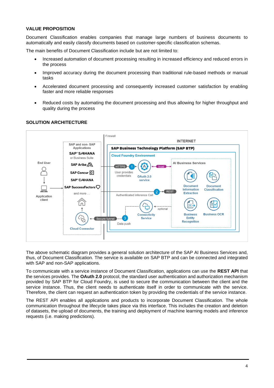#### <span id="page-3-0"></span>**VALUE PROPOSITION**

Document Classification enables companies that manage large numbers of business documents to automatically and easily classify documents based on customer-specific classification schemas.

The main benefits of Document Classification include but are not limited to:

- Increased automation of document processing resulting in increased efficiency and reduced errors in the process
- Improved accuracy during the document processing than traditional rule-based methods or manual tasks
- Accelerated document processing and consequently increased customer satisfaction by enabling faster and more reliable responses
- Reduced costs by automating the document processing and thus allowing for higher throughput and quality during the process



#### <span id="page-3-1"></span>**SOLUTION ARCHITECTURE**

The above schematic diagram provides a general solution architecture of the SAP AI Business Services and, thus, of Document Classification. The service is available on SAP BTP and can be connected and integrated with SAP and non-SAP applications.

To communicate with a service instance of Document Classification, applications can use the **REST API** that the services provides. The **OAuth 2.0** protocol, the standard user authentication and authorization mechanism provided by SAP BTP for Cloud Foundry, is used to secure the communication between the client and the service instance. Thus, the client needs to authenticate itself in order to communicate with the service. Therefore, the client can request an authentication token by providing the credentials of the service instance.

The REST API enables all applications and products to incorporate Document Classification. The whole communication throughout the lifecycle takes place via this interface. This includes the creation and deletion of datasets, the upload of documents, the training and deployment of machine learning models and inference requests (i.e. making predictions).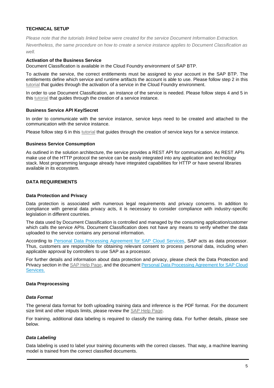# <span id="page-4-0"></span>**TECHNICAL SETUP**

*Please note that the tutorials linked below were created for the service Document Information Extraction. Nevertheless, the same procedure on how to create a service instance applies to Document Classification as well.*

# <span id="page-4-1"></span>**Activation of the Business Service**

Document Classification is available in the Cloud Foundry environment of SAP BTP.

To activate the service, the correct entitlements must be assigned to your account in the SAP BTP. The entitlements define which service and runtime artifacts the account is able to use. Please follow step 2 in this [tutorial](https://developers.sap.com/tutorials/cp-aibus-dox-service-instance.html) that guides through the activation of a service in the Cloud Foundry environment.

In order to use Document Classification, an instance of the service is needed. Please follow steps 4 and 5 in this [tutorial](https://developers.sap.com/tutorials/cp-aibus-dox-service-instance.html) that guides through the creation of a service instance.

# <span id="page-4-2"></span>**Business Service API Key/Secret**

In order to communicate with the service instance, service keys need to be created and attached to the communication with the service instance.

Please follow step 6 in this [tutorial](https://developers.sap.com/tutorials/cp-aibus-dox-service-instance.html) that guides through the creation of service keys for a service instance.

# <span id="page-4-3"></span>**Business Service Consumption**

As outlined in the solution architecture, the service provides a REST API for communication. As REST APIs make use of the HTTP protocol the service can be easily integrated into any application and technology stack. Most programming language already have integrated capabilities for HTTP or have several libraries available in its ecosystem.

# <span id="page-4-5"></span><span id="page-4-4"></span>**DATA REQUIREMENTS**

# **Data Protection and Privacy**

Data protection is associated with numerous legal requirements and privacy concerns. In addition to compliance with general data privacy acts, it is necessary to consider compliance with industry-specific legislation in different countries.

The data used by Document Classification is controlled and managed by the consuming application/customer which calls the service APIs. Document Classification does not have any means to verify whether the data uploaded to the service contains any personal information.

According to [Personal Data Processing Agreement for SAP Cloud Services,](https://www.sap.com/uk/about/trust-center/agreements/cloud.html) SAP acts as data processor. Thus, customers are responsible for obtaining relevant consent to process personal data, including when applicable approval by controllers to use SAP as a processor.

For further details and information about data protection and privacy, please check the Data Protection and Privacy section in the [SAP Help Page,](https://help.sap.com/viewer/ca60cd2ed44f4261a3ae500234c46f37/SHIP/en-US/b62934371d2141b3bbc4bdc4279a95c3.html) and the documen[t Personal Data Processing Agreement for SAP Cloud](https://www.sap.com/uk/about/trust-center/agreements/cloud.html)  [Services.](https://www.sap.com/uk/about/trust-center/agreements/cloud.html)

# <span id="page-4-6"></span>**Data Preprocessing**

# *Data Format*

The general data format for both uploading training data and inference is the PDF format. For the document size limit and other intputs limits, please review the [SAP Help Page.](https://help.sap.com/viewer/ca60cd2ed44f4261a3ae500234c46f37/SHIP/en-US/0cf28785e2454be093e960f4c1ad11ce.html)

For training, additional data labeling is required to classify the training data. For further details, please see below.

# *Data Labeling*

Data labeling is used to label your training documents with the correct classes. That way, a machine learning model is trained from the correct classified documents.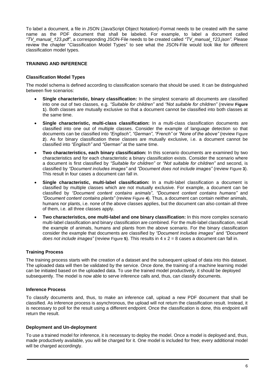To label a document, a file in JSON (JavaScript Object Notation)-Format needs to be created with the same name as the PDF document that shall be labeled. For example, to label a document called *"TV\_manual\_123.pdf"*, a corresponding JSON-File needs to be created called *"TV\_manual\_123.json"*. Please review the chapter ["Classification Model Types"](#page-5-1) to see what the JSON-File would look like for different classification model types.

# <span id="page-5-1"></span><span id="page-5-0"></span>**TRAINING AND INFERENCE**

# **Classification Model Types**

The model schema is defined according to classification scenario that should be used. It can be distinguished between five scenarios:

- **Single characteristic, binary classification:** In the simplest scenario all documents are classified into one out of two classes, e.g. *"Suitable for children"* and *"Not suitable for children"* (review **[Figure](#page-7-2)  [1](#page-7-2)**). Both classes are mutually exclusive so that a document cannot be classified into both classes at the same time.
- **Single characteristic, multi-class classification:** In a multi-class classification documents are classified into one out of multiple classes. Consider the example of language detection so that documents can be classified into *"Englisch"*, *"German"*, *"French"* or *"None of the above"* (review [Figure](#page-7-3)  **[2](#page-7-3)**). As for binary classification these classes are mutually exclusive, i.e. a document cannot be classified into *"Englisch"* and *"German"* at the same time.
- **Two characteristics, each binary classification:** In this scenario documents are examined by two characteristics and for each characteristic a binary classification exists. Consider the scenario where a document is first classified by *"Suitable for children"* or *"Not suitable for children"* and second, is classified by *"Document includes images"* and *"Document does not include images"* (review [Figure](#page-7-4) **3**). This result in four cases a document can fall in.
- **Single characteristic, multi-label classification:** In a multi-label classification a document is classified by multiple classes which are not mutually exclusive. For example, a document can be classified by *"Document content contains animals"*, *"Document content contains humans"* and *"Document content contains plants"* (review [Figure](#page-7-5) **4**). Thus, a document can contain neither animals, humans nor plants, i.e. none of the above classes applies, but the document can also contain all three of them, i.e. all three classes apply.
- **Two characteristics, one multi-label and one binary classification:** In this more complex scenario multi-label classification and binary classification are combined. For the multi-label classification, recall the example of animals, humans and plants from the above scenario. For the binary classification consider the example that documents are classified by *"Document includes images"* and *"Document does not include images"* (review [Figure](#page-8-0) **5**). This results in 4 x 2 = 8 cases a document can fall in.

# <span id="page-5-2"></span>**Training Process**

The training process starts with the creation of a dataset and the subsequent upload of data into this dataset. The uploaded data will then be validated by the service. Once done, the training of a machine learning model can be initiated based on the uploaded data. To use the trained model productively, it should be deployed subsequently. The model is now able to serve inference calls and, thus, can classify documents.

# <span id="page-5-3"></span>**Inference Process**

To classify documents and, thus, to make an inference call, upload a new PDF document that shall be classified. As inference process is asynchronous, the upload will not return the classification result. Instead, it is necessary to poll for the result using a different endpoint. Once the classification is done, this endpoint will return the result.

# <span id="page-5-4"></span>**Deployment and Un-deployment**

To use a trained model for inference, it is necessary to deploy the model. Once a model is deployed and, thus, made productively available, you will be charged for it. One model is included for free; every additional model will be charged accordingly.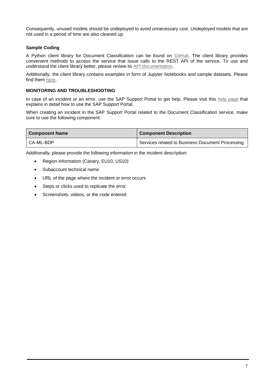Consequently, unused models should be undeployed to avoid unnecessary cost. Undeployed models that are not used in a period of time are also cleaned up.

# <span id="page-6-0"></span>**Sample Coding**

A Python client library for Document Classification can be found on [GitHub.](https://github.com/SAP/document-classification-client) The client library provides convenient methods to access the service that issue calls to the REST API of the service. To use and understand the client library better, please review its [API documentation.](https://github.com/SAP/document-classification-client/blob/master/API.md)

Additionally, the client library contains examples in form of Jupyter Notebooks and sample datasets. Please find them [here.](https://github.com/SAP/document-classification-client/tree/master/examples)

# <span id="page-6-1"></span>**MONITORING AND TROUBLESHOOTING**

In case of an incident or an error, use the SAP Support Portal to get help. Please visit this [help page](https://help.sap.com/viewer/65de2977205c403bbc107264b8eccf4b/Cloud/en-US/5dd739823b824b539eee47b7860a00be.html) that explains in detail how to use the SAP Support Portal.

When creating an incident in the SAP Support Portal related to the Document Classification service, make sure to use the following component:

| <b>Component Name</b> | <b>Component Description</b>                     |
|-----------------------|--------------------------------------------------|
| I CA-ML-BDP           | Services related to Business Document Processing |

Additionally, please provide the following information in the incident description:

- Region information (Canary, EU10, US10)
- Subaccount technical name
- URL of the page where the incident or error occurs
- Steps or clicks used to replicate the error
- Screenshots, videos, or the code entered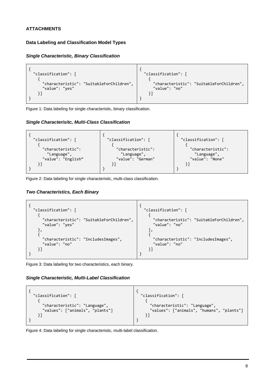# <span id="page-7-1"></span><span id="page-7-0"></span>**ATTACHMENTS**

# **Data Labeling and Classification Model Types**

# *Single Characteristic, Binary Classification*



<span id="page-7-2"></span>Figure 1: Data labeling for single characteristic, binary classification.

# *Single Characterisitc, Multi-Class Classification*



<span id="page-7-3"></span>Figure 2: Data labeling for single characteristic, multi-class classification.

# *Two Characteristics, Each Binary*



<span id="page-7-4"></span>Figure 3: Data labeling for two characteristics, each binary.

# *Single Characteristic, Multi-Label Classification*



<span id="page-7-5"></span>Figure 4: Data labeling for single characteristic, multi-label classification.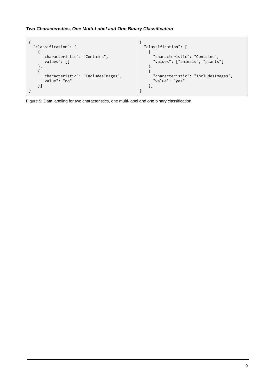# *Two Characteristics, One Multi-Label and One Binary Classification*



<span id="page-8-0"></span>Figure 5: Data labeling for two characteristics, one multi-label and one binary classification.